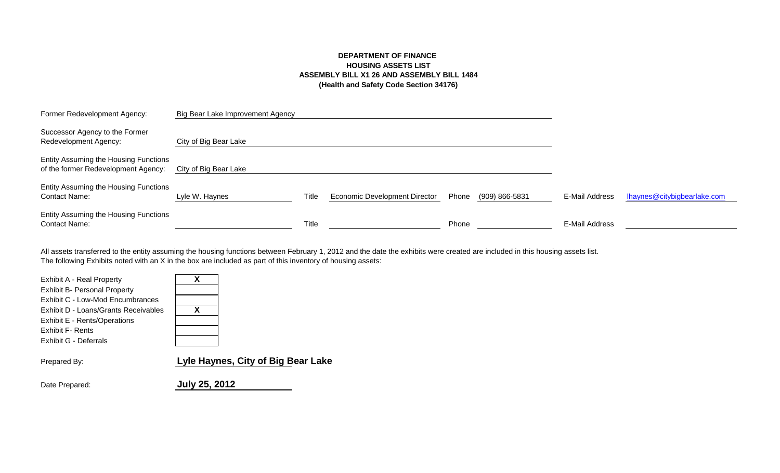# **DEPARTMENT OF FINANCE HOUSING ASSETS LIST ASSEMBLY BILL X1 26 AND ASSEMBLY BILL 1484 (Health and Safety Code Section 34176)**

| Former Redevelopment Agency:                                                 | Big Bear Lake Improvement Agency |       |                                      |       |                |                |                             |
|------------------------------------------------------------------------------|----------------------------------|-------|--------------------------------------|-------|----------------|----------------|-----------------------------|
| Successor Agency to the Former<br>Redevelopment Agency:                      | City of Big Bear Lake            |       |                                      |       |                |                |                             |
| Entity Assuming the Housing Functions<br>of the former Redevelopment Agency: | City of Big Bear Lake            |       |                                      |       |                |                |                             |
| Entity Assuming the Housing Functions<br><b>Contact Name:</b>                | Lyle W. Haynes                   | Title | <b>Economic Development Director</b> | Phone | (909) 866-5831 | E-Mail Address | Ihaynes@citybigbearlake.com |
| Entity Assuming the Housing Functions<br>Contact Name:                       |                                  | Title |                                      | Phone |                | E-Mail Address |                             |

The following Exhibits noted with an X in the box are included as part of this inventory of housing assets: All assets transferred to the entity assuming the housing functions between February 1, 2012 and the date the exhibits were created are included in this housing assets list.

| Exhibit A - Real Property<br><b>Exhibit B- Personal Property</b><br>Exhibit C - Low-Mod Encumbrances<br>Exhibit D - Loans/Grants Receivables<br>Exhibit E - Rents/Operations<br><b>Exhibit F- Rents</b> | x<br>X                             |
|---------------------------------------------------------------------------------------------------------------------------------------------------------------------------------------------------------|------------------------------------|
| Exhibit G - Deferrals<br>Prepared By:                                                                                                                                                                   | Lyle Haynes, City of Big Bear Lake |
|                                                                                                                                                                                                         |                                    |

Date Prepared: **July 25, 2012**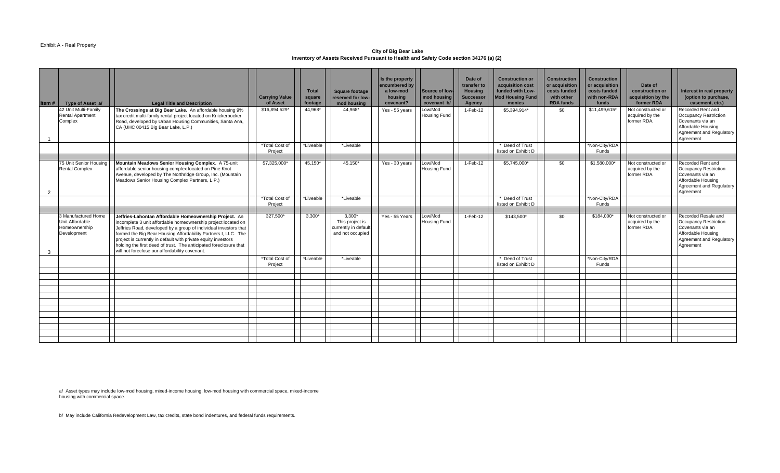#### Exhibit A - Real Property

**City of Big Bear Lake Inventory of Assets Received Pursuant to Health and Safety Code section 34176 (a) (2)** 

| Item#          | Type of Asset a/                                                       | <b>Legal Title and Description</b>                                                                                                                                                                                                                                                                                                                                                                                                                    | <b>Carrying Value</b><br>of Asset | <b>Total</b><br>square<br>footage | <b>Square footage</b><br>reserved for low-<br>mod housing               | Is the property<br>encumbered by<br>a low-mod<br>housing<br>covenant? | Source of low-<br>mod housing<br>covenant b/ | Date of<br>transfer to<br><b>Housing</b><br><b>Successor</b><br>Agency | <b>Construction or</b><br>acquisition cost<br>funded with Low-<br><b>Mod Housing Fund</b><br>monies | <b>Construction</b><br>or acquisition<br>costs funded<br>with other<br><b>RDA funds</b> | <b>Construction</b><br>or acquisition<br>costs funded<br>with non-RDA<br>funds | Date of<br>construction or<br>acquisition by the<br>former RDA | Interest in real property<br>(option to purchase,<br>easement, etc.)                                                                   |
|----------------|------------------------------------------------------------------------|-------------------------------------------------------------------------------------------------------------------------------------------------------------------------------------------------------------------------------------------------------------------------------------------------------------------------------------------------------------------------------------------------------------------------------------------------------|-----------------------------------|-----------------------------------|-------------------------------------------------------------------------|-----------------------------------------------------------------------|----------------------------------------------|------------------------------------------------------------------------|-----------------------------------------------------------------------------------------------------|-----------------------------------------------------------------------------------------|--------------------------------------------------------------------------------|----------------------------------------------------------------|----------------------------------------------------------------------------------------------------------------------------------------|
|                | 42 Unit Multi-Family<br><b>Rental Apartment</b><br>Complex             | The Crossings at Big Bear Lake. An affordable housing 9%<br>tax credit multi-family rental project located on Knickerbocker<br>Road, developed by Urban Housing Communities, Santa Ana,<br>CA (UHC 00415 Big Bear Lake, L.P.)                                                                                                                                                                                                                         | \$16,894,529*                     | 44.968*                           | 44.968*                                                                 | Yes - 55 years                                                        | Low/Mod<br><b>Housing Fund</b>               | $1-Feb-12$                                                             | \$5,394,914*                                                                                        | \$0                                                                                     | \$11,499,615                                                                   | Not constructed or<br>acquired by the<br>former RDA.           | Recorded Rent and<br><b>Occupancy Restriction</b><br>Covenants via an<br>Affordable Housing<br>Agreement and Regulatory<br>Agreement   |
|                |                                                                        |                                                                                                                                                                                                                                                                                                                                                                                                                                                       | *Total Cost of<br>Project         | *Liveable                         | *Liveable                                                               |                                                                       |                                              |                                                                        | Deed of Trust<br>listed on Exhibit D                                                                |                                                                                         | *Non-City/RDA<br>Funds                                                         |                                                                |                                                                                                                                        |
| $\overline{2}$ | 75 Unit Senior Housing<br><b>Rental Complex</b>                        | Mountain Meadows Senior Housing Complex. A 75-unit<br>affordable senior housing complex located on Pine Knot<br>Avenue, developed by The Northridge Group, Inc. (Mountain<br>Meadows Senior Housing Complex Partners, L.P.)                                                                                                                                                                                                                           | \$7,325,000*                      | 45,150*                           | 45,150*                                                                 | Yes - 30 years                                                        | Low/Mod<br><b>Housing Fund</b>               | $1-Feb-12$                                                             | \$5,745,000*                                                                                        | \$0                                                                                     | \$1,580,000*                                                                   | Not constructed or<br>acquired by the<br>former RDA.           | Recorded Rent and<br><b>Occupancy Restriction</b><br>Covenants via an<br>Affordable Housing<br>Agreement and Regulatory<br>Agreement   |
|                |                                                                        |                                                                                                                                                                                                                                                                                                                                                                                                                                                       | *Total Cost of<br>Project         | *Liveable                         | *Liveable                                                               |                                                                       |                                              |                                                                        | Deed of Trust<br>listed on Exhibit D                                                                |                                                                                         | *Non-City/RDA<br>Funds                                                         |                                                                |                                                                                                                                        |
|                |                                                                        |                                                                                                                                                                                                                                                                                                                                                                                                                                                       |                                   |                                   |                                                                         |                                                                       |                                              |                                                                        |                                                                                                     |                                                                                         |                                                                                |                                                                |                                                                                                                                        |
| 3              | 3 Manufactured Home<br>Unit Affordable<br>Homeownership<br>Development | Jeffries-Lahontan Affordable Homeownership Project. An<br>incomplete 3 unit affordable homeownership project located on<br>Jeffries Road, developed by a group of individual investors that<br>formed the Big Bear Housing Affordability Partners I, LLC. The<br>project is currently in default with private equity investors<br>holding the first deed of trust. The anticipated foreclosure that<br>will not foreclose our affordability covenant. | 327,500*                          | $3.300*$                          | $3,300*$<br>This project is<br>currently in default<br>and not occupied | Yes - 55 Years                                                        | Low/Mod<br><b>Housing Fund</b>               | 1-Feb-12                                                               | \$143,500*                                                                                          | \$0                                                                                     | \$184,000*                                                                     | Not constructed or<br>acquired by the<br>former RDA.           | Recorded Resale and<br><b>Occupancy Restriction</b><br>Covenants via an<br>Affordable Housing<br>Agreement and Regulatory<br>Agreement |
|                |                                                                        |                                                                                                                                                                                                                                                                                                                                                                                                                                                       | *Total Cost of<br>Project         | *Liveable                         | *Liveable                                                               |                                                                       |                                              |                                                                        | * Deed of Trust<br>listed on Exhibit D                                                              |                                                                                         | *Non-City/RDA<br>Funds                                                         |                                                                |                                                                                                                                        |
|                |                                                                        |                                                                                                                                                                                                                                                                                                                                                                                                                                                       |                                   |                                   |                                                                         |                                                                       |                                              |                                                                        |                                                                                                     |                                                                                         |                                                                                |                                                                |                                                                                                                                        |
|                |                                                                        |                                                                                                                                                                                                                                                                                                                                                                                                                                                       |                                   |                                   |                                                                         |                                                                       |                                              |                                                                        |                                                                                                     |                                                                                         |                                                                                |                                                                |                                                                                                                                        |
|                |                                                                        |                                                                                                                                                                                                                                                                                                                                                                                                                                                       |                                   |                                   |                                                                         |                                                                       |                                              |                                                                        |                                                                                                     |                                                                                         |                                                                                |                                                                |                                                                                                                                        |
|                |                                                                        |                                                                                                                                                                                                                                                                                                                                                                                                                                                       |                                   |                                   |                                                                         |                                                                       |                                              |                                                                        |                                                                                                     |                                                                                         |                                                                                |                                                                |                                                                                                                                        |
|                |                                                                        |                                                                                                                                                                                                                                                                                                                                                                                                                                                       |                                   |                                   |                                                                         |                                                                       |                                              |                                                                        |                                                                                                     |                                                                                         |                                                                                |                                                                |                                                                                                                                        |
|                |                                                                        |                                                                                                                                                                                                                                                                                                                                                                                                                                                       |                                   |                                   |                                                                         |                                                                       |                                              |                                                                        |                                                                                                     |                                                                                         |                                                                                |                                                                |                                                                                                                                        |
|                |                                                                        |                                                                                                                                                                                                                                                                                                                                                                                                                                                       |                                   |                                   |                                                                         |                                                                       |                                              |                                                                        |                                                                                                     |                                                                                         |                                                                                |                                                                |                                                                                                                                        |
|                |                                                                        |                                                                                                                                                                                                                                                                                                                                                                                                                                                       |                                   |                                   |                                                                         |                                                                       |                                              |                                                                        |                                                                                                     |                                                                                         |                                                                                |                                                                |                                                                                                                                        |
|                |                                                                        |                                                                                                                                                                                                                                                                                                                                                                                                                                                       |                                   |                                   |                                                                         |                                                                       |                                              |                                                                        |                                                                                                     |                                                                                         |                                                                                |                                                                |                                                                                                                                        |
|                |                                                                        |                                                                                                                                                                                                                                                                                                                                                                                                                                                       |                                   |                                   |                                                                         |                                                                       |                                              |                                                                        |                                                                                                     |                                                                                         |                                                                                |                                                                |                                                                                                                                        |
|                |                                                                        |                                                                                                                                                                                                                                                                                                                                                                                                                                                       |                                   |                                   |                                                                         |                                                                       |                                              |                                                                        |                                                                                                     |                                                                                         |                                                                                |                                                                |                                                                                                                                        |

a/ Asset types may include low-mod housing, mixed-income housing, low-mod housing with commercial space, mixed-income housing with commercial space.

b/ May include California Redevelopment Law, tax credits, state bond indentures, and federal funds requirements.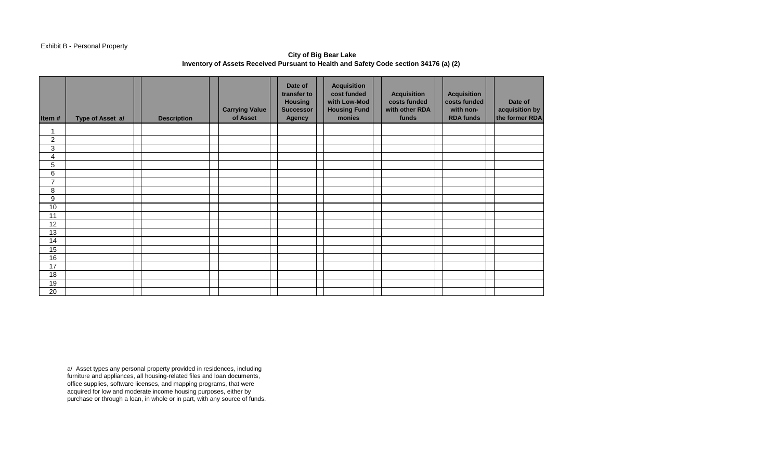# Exhibit B - Personal Property

**City of Big Bear Lake Inventory of Assets Received Pursuant to Health and Safety Code section 34176 (a) (2)** 

| Item#            | Type of Asset a/ | <b>Description</b> | <b>Carrying Value</b><br>of Asset | Date of<br>transfer to<br><b>Housing</b><br><b>Successor</b><br><b>Agency</b> | <b>Acquisition</b><br>cost funded<br>with Low-Mod<br><b>Housing Fund</b><br>monies | <b>Acquisition</b><br>costs funded<br>with other RDA<br>funds | <b>Acquisition</b><br>costs funded<br>with non-<br><b>RDA funds</b> | Date of<br>acquisition by<br>the former RDA |
|------------------|------------------|--------------------|-----------------------------------|-------------------------------------------------------------------------------|------------------------------------------------------------------------------------|---------------------------------------------------------------|---------------------------------------------------------------------|---------------------------------------------|
| 4                |                  |                    |                                   |                                                                               |                                                                                    |                                                               |                                                                     |                                             |
| $\boldsymbol{2}$ |                  |                    |                                   |                                                                               |                                                                                    |                                                               |                                                                     |                                             |
| 3                |                  |                    |                                   |                                                                               |                                                                                    |                                                               |                                                                     |                                             |
| 4                |                  |                    |                                   |                                                                               |                                                                                    |                                                               |                                                                     |                                             |
| 5                |                  |                    |                                   |                                                                               |                                                                                    |                                                               |                                                                     |                                             |
| 6                |                  |                    |                                   |                                                                               |                                                                                    |                                                               |                                                                     |                                             |
| $\overline{7}$   |                  |                    |                                   |                                                                               |                                                                                    |                                                               |                                                                     |                                             |
| 8                |                  |                    |                                   |                                                                               |                                                                                    |                                                               |                                                                     |                                             |
| 9                |                  |                    |                                   |                                                                               |                                                                                    |                                                               |                                                                     |                                             |
| $10$             |                  |                    |                                   |                                                                               |                                                                                    |                                                               |                                                                     |                                             |
| 11               |                  |                    |                                   |                                                                               |                                                                                    |                                                               |                                                                     |                                             |
| 12               |                  |                    |                                   |                                                                               |                                                                                    |                                                               |                                                                     |                                             |
| 13               |                  |                    |                                   |                                                                               |                                                                                    |                                                               |                                                                     |                                             |
| 14               |                  |                    |                                   |                                                                               |                                                                                    |                                                               |                                                                     |                                             |
| 15               |                  |                    |                                   |                                                                               |                                                                                    |                                                               |                                                                     |                                             |
| 16               |                  |                    |                                   |                                                                               |                                                                                    |                                                               |                                                                     |                                             |
| 17               |                  |                    |                                   |                                                                               |                                                                                    |                                                               |                                                                     |                                             |
| 18               |                  |                    |                                   |                                                                               |                                                                                    |                                                               |                                                                     |                                             |
| 19               |                  |                    |                                   |                                                                               |                                                                                    |                                                               |                                                                     |                                             |
| 20               |                  |                    |                                   |                                                                               |                                                                                    |                                                               |                                                                     |                                             |

a/ Asset types any personal property provided in residences, including furniture and appliances, all housing-related files and loan documents, office supplies, software licenses, and mapping programs, that were acquired for low and moderate income housing purposes, either by purchase or through a loan, in whole or in part, with any source of funds.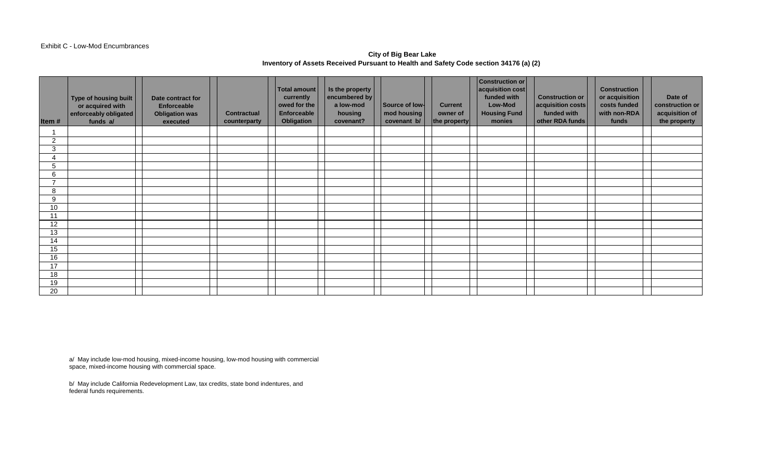#### Exhibit C - Low-Mod Encumbrances

# **City of Big Bear Lake Inventory of Assets Received Pursuant to Health and Safety Code section 34176 (a) (2)**

| Item#          | Type of housing built<br>or acquired with<br>enforceably obligated<br>funds a/ | Date contract for<br><b>Enforceable</b><br><b>Obligation was</b><br>executed | <b>Contractual</b><br>counterparty | Total amount<br>currently<br>owed for the<br>Enforceable<br>Obligation | Is the property<br>encumbered by<br>a low-mod<br>housing<br>covenant? | Source of low-<br>mod housing<br>covenant b/ | <b>Current</b><br>owner of<br>the property | <b>Construction or</b><br>acquisition cost<br>funded with<br><b>Low-Mod</b><br><b>Housing Fund</b><br>monies | <b>Construction or</b><br>acquisition costs<br>funded with<br>other RDA funds | <b>Construction</b><br>or acquisition<br>costs funded<br>with non-RDA<br>funds | Date of<br>construction or<br>acquisition of<br>the property |
|----------------|--------------------------------------------------------------------------------|------------------------------------------------------------------------------|------------------------------------|------------------------------------------------------------------------|-----------------------------------------------------------------------|----------------------------------------------|--------------------------------------------|--------------------------------------------------------------------------------------------------------------|-------------------------------------------------------------------------------|--------------------------------------------------------------------------------|--------------------------------------------------------------|
|                |                                                                                |                                                                              |                                    |                                                                        |                                                                       |                                              |                                            |                                                                                                              |                                                                               |                                                                                |                                                              |
| $\overline{2}$ |                                                                                |                                                                              |                                    |                                                                        |                                                                       |                                              |                                            |                                                                                                              |                                                                               |                                                                                |                                                              |
| 3              |                                                                                |                                                                              |                                    |                                                                        |                                                                       |                                              |                                            |                                                                                                              |                                                                               |                                                                                |                                                              |
| 4              |                                                                                |                                                                              |                                    |                                                                        |                                                                       |                                              |                                            |                                                                                                              |                                                                               |                                                                                |                                                              |
| 5              |                                                                                |                                                                              |                                    |                                                                        |                                                                       |                                              |                                            |                                                                                                              |                                                                               |                                                                                |                                                              |
| 6              |                                                                                |                                                                              |                                    |                                                                        |                                                                       |                                              |                                            |                                                                                                              |                                                                               |                                                                                |                                                              |
| -              |                                                                                |                                                                              |                                    |                                                                        |                                                                       |                                              |                                            |                                                                                                              |                                                                               |                                                                                |                                                              |
| 8              |                                                                                |                                                                              |                                    |                                                                        |                                                                       |                                              |                                            |                                                                                                              |                                                                               |                                                                                |                                                              |
| 9              |                                                                                |                                                                              |                                    |                                                                        |                                                                       |                                              |                                            |                                                                                                              |                                                                               |                                                                                |                                                              |
| 10             |                                                                                |                                                                              |                                    |                                                                        |                                                                       |                                              |                                            |                                                                                                              |                                                                               |                                                                                |                                                              |
| 11             |                                                                                |                                                                              |                                    |                                                                        |                                                                       |                                              |                                            |                                                                                                              |                                                                               |                                                                                |                                                              |
| 12             |                                                                                |                                                                              |                                    |                                                                        |                                                                       |                                              |                                            |                                                                                                              |                                                                               |                                                                                |                                                              |
| 13             |                                                                                |                                                                              |                                    |                                                                        |                                                                       |                                              |                                            |                                                                                                              |                                                                               |                                                                                |                                                              |
| 14             |                                                                                |                                                                              |                                    |                                                                        |                                                                       |                                              |                                            |                                                                                                              |                                                                               |                                                                                |                                                              |
| 15             |                                                                                |                                                                              |                                    |                                                                        |                                                                       |                                              |                                            |                                                                                                              |                                                                               |                                                                                |                                                              |
| 16             |                                                                                |                                                                              |                                    |                                                                        |                                                                       |                                              |                                            |                                                                                                              |                                                                               |                                                                                |                                                              |
| 17             |                                                                                |                                                                              |                                    |                                                                        |                                                                       |                                              |                                            |                                                                                                              |                                                                               |                                                                                |                                                              |
| 18             |                                                                                |                                                                              |                                    |                                                                        |                                                                       |                                              |                                            |                                                                                                              |                                                                               |                                                                                |                                                              |
| 19             |                                                                                |                                                                              |                                    |                                                                        |                                                                       |                                              |                                            |                                                                                                              |                                                                               |                                                                                |                                                              |
| 20             |                                                                                |                                                                              |                                    |                                                                        |                                                                       |                                              |                                            |                                                                                                              |                                                                               |                                                                                |                                                              |

a/ May include low-mod housing, mixed-income housing, low-mod housing with commercial space, mixed-income housing with commercial space.

b/ May include California Redevelopment Law, tax credits, state bond indentures, and federal funds requirements.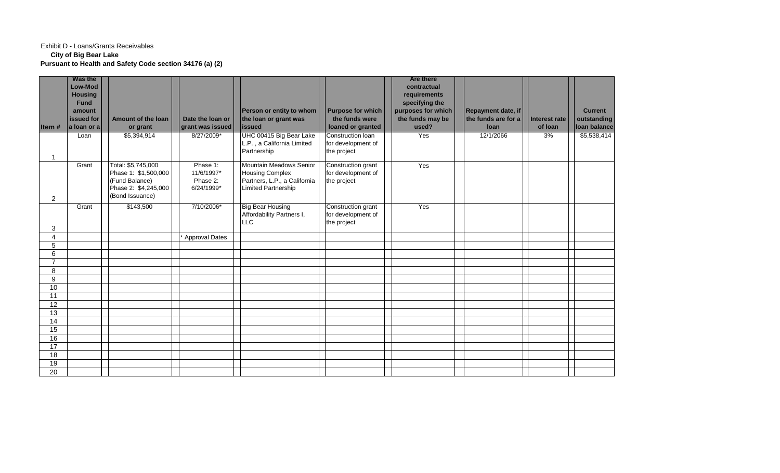### Exhibit D - Loans/Grants Receivables **City of Big Bear Lake Pursuant to Health and Safety Code section 34176 (a) (2)**

|                 | Was the        |                                        |                        |                                                     |                          | <b>Are there</b>   |                     |                      |                |
|-----------------|----------------|----------------------------------------|------------------------|-----------------------------------------------------|--------------------------|--------------------|---------------------|----------------------|----------------|
|                 | Low-Mod        |                                        |                        |                                                     |                          | contractual        |                     |                      |                |
|                 | <b>Housing</b> |                                        |                        |                                                     |                          | requirements       |                     |                      |                |
|                 | <b>Fund</b>    |                                        |                        |                                                     |                          | specifying the     |                     |                      |                |
|                 | amount         |                                        |                        | Person or entity to whom                            | <b>Purpose for which</b> | purposes for which | Repayment date, if  |                      | <b>Current</b> |
|                 | issued for     | <b>Amount of the loan</b>              | Date the loan or       | the loan or grant was                               | the funds were           | the funds may be   | the funds are for a | <b>Interest rate</b> | outstanding    |
| Item#           | a loan or a    | or grant                               | grant was issued       | <b>lissued</b>                                      | loaned or granted        | used?              | loan                | of loan              | loan balance   |
|                 | Loan           | $\overline{$5,394,914}$                | 8/27/2009*             | UHC 00415 Big Bear Lake                             | Construction loan        | Yes                | 12/1/2066           | 3%                   | \$5,538,414    |
|                 |                |                                        |                        | L.P., a California Limited                          | for development of       |                    |                     |                      |                |
|                 |                |                                        |                        | Partnership                                         | the project              |                    |                     |                      |                |
|                 |                |                                        |                        |                                                     |                          |                    |                     |                      |                |
|                 | Grant          | Total: \$5,745,000                     | Phase 1:               | Mountain Meadows Senior                             | Construction grant       | Yes                |                     |                      |                |
|                 |                | Phase 1: \$1,500,000                   | 11/6/1997*<br>Phase 2: | <b>Housing Complex</b>                              | for development of       |                    |                     |                      |                |
|                 |                | (Fund Balance)<br>Phase 2: \$4,245,000 | 6/24/1999*             | Partners, L.P., a California<br>Limited Partnership | the project              |                    |                     |                      |                |
|                 |                | (Bond Issuance)                        |                        |                                                     |                          |                    |                     |                      |                |
| $\overline{2}$  |                |                                        |                        |                                                     |                          |                    |                     |                      |                |
|                 | Grant          | \$143,500                              | 7/10/2006*             | <b>Big Bear Housing</b>                             | Construction grant       | Yes                |                     |                      |                |
|                 |                |                                        |                        | Affordability Partners I,                           | for development of       |                    |                     |                      |                |
| 3               |                |                                        |                        | <b>LLC</b>                                          | the project              |                    |                     |                      |                |
| $\overline{4}$  |                |                                        | Approval Dates         |                                                     |                          |                    |                     |                      |                |
| 5               |                |                                        |                        |                                                     |                          |                    |                     |                      |                |
| $6 \overline{}$ |                |                                        |                        |                                                     |                          |                    |                     |                      |                |
| $\overline{7}$  |                |                                        |                        |                                                     |                          |                    |                     |                      |                |
| 8               |                |                                        |                        |                                                     |                          |                    |                     |                      |                |
| 9               |                |                                        |                        |                                                     |                          |                    |                     |                      |                |
| 10              |                |                                        |                        |                                                     |                          |                    |                     |                      |                |
| 11              |                |                                        |                        |                                                     |                          |                    |                     |                      |                |
| 12              |                |                                        |                        |                                                     |                          |                    |                     |                      |                |
| 13              |                |                                        |                        |                                                     |                          |                    |                     |                      |                |
| $\overline{14}$ |                |                                        |                        |                                                     |                          |                    |                     |                      |                |
| 15              |                |                                        |                        |                                                     |                          |                    |                     |                      |                |
| 16              |                |                                        |                        |                                                     |                          |                    |                     |                      |                |
| 17              |                |                                        |                        |                                                     |                          |                    |                     |                      |                |
| 18              |                |                                        |                        |                                                     |                          |                    |                     |                      |                |
| 19              |                |                                        |                        |                                                     |                          |                    |                     |                      |                |
| 20              |                |                                        |                        |                                                     |                          |                    |                     |                      |                |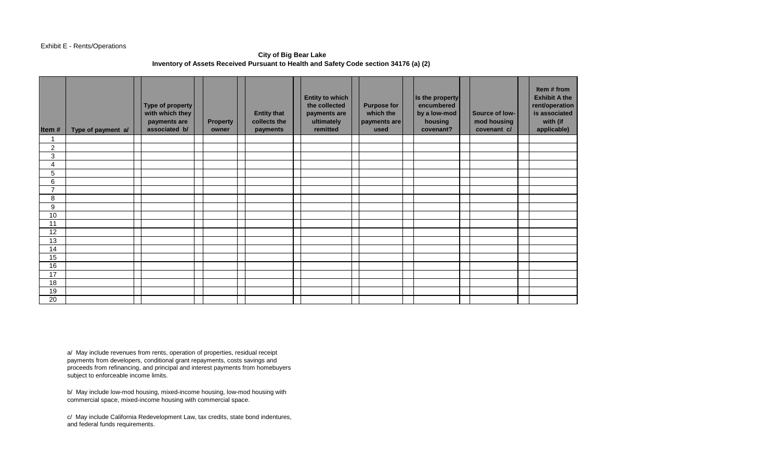#### Exhibit E - Rents/Operations

### **City of Big Bear Lake Inventory of Assets Received Pursuant to Health and Safety Code section 34176 (a) (2)**

| Item#          | Type of payment a/ | Type of property<br>with which they<br>payments are<br>associated b/ | <b>Property</b><br>owner | <b>Entity that</b><br>collects the<br>payments | <b>Entity to which</b><br>the collected<br>payments are<br>ultimately<br>remitted | <b>Purpose for</b><br>which the<br>payments are<br>used | Is the property<br>encumbered<br>by a low-mod<br>housing<br>covenant? | Source of low-<br>mod housing<br>covenant c/ | Item # from<br><b>Exhibit A the</b><br>rent/operation<br>is associated<br>with (if<br>applicable) |
|----------------|--------------------|----------------------------------------------------------------------|--------------------------|------------------------------------------------|-----------------------------------------------------------------------------------|---------------------------------------------------------|-----------------------------------------------------------------------|----------------------------------------------|---------------------------------------------------------------------------------------------------|
| 1              |                    |                                                                      |                          |                                                |                                                                                   |                                                         |                                                                       |                                              |                                                                                                   |
| 2              |                    |                                                                      |                          |                                                |                                                                                   |                                                         |                                                                       |                                              |                                                                                                   |
| 3              |                    |                                                                      |                          |                                                |                                                                                   |                                                         |                                                                       |                                              |                                                                                                   |
| 4              |                    |                                                                      |                          |                                                |                                                                                   |                                                         |                                                                       |                                              |                                                                                                   |
| 5              |                    |                                                                      |                          |                                                |                                                                                   |                                                         |                                                                       |                                              |                                                                                                   |
| 6              |                    |                                                                      |                          |                                                |                                                                                   |                                                         |                                                                       |                                              |                                                                                                   |
| $\overline{7}$ |                    |                                                                      |                          |                                                |                                                                                   |                                                         |                                                                       |                                              |                                                                                                   |
| 8              |                    |                                                                      |                          |                                                |                                                                                   |                                                         |                                                                       |                                              |                                                                                                   |
| 9              |                    |                                                                      |                          |                                                |                                                                                   |                                                         |                                                                       |                                              |                                                                                                   |
| 10             |                    |                                                                      |                          |                                                |                                                                                   |                                                         |                                                                       |                                              |                                                                                                   |
| 11             |                    |                                                                      |                          |                                                |                                                                                   |                                                         |                                                                       |                                              |                                                                                                   |
| 12             |                    |                                                                      |                          |                                                |                                                                                   |                                                         |                                                                       |                                              |                                                                                                   |
| 13             |                    |                                                                      |                          |                                                |                                                                                   |                                                         |                                                                       |                                              |                                                                                                   |
| 14             |                    |                                                                      |                          |                                                |                                                                                   |                                                         |                                                                       |                                              |                                                                                                   |
| 15             |                    |                                                                      |                          |                                                |                                                                                   |                                                         |                                                                       |                                              |                                                                                                   |
| 16             |                    |                                                                      |                          |                                                |                                                                                   |                                                         |                                                                       |                                              |                                                                                                   |
| 17             |                    |                                                                      |                          |                                                |                                                                                   |                                                         |                                                                       |                                              |                                                                                                   |
| 18             |                    |                                                                      |                          |                                                |                                                                                   |                                                         |                                                                       |                                              |                                                                                                   |
| 19             |                    |                                                                      |                          |                                                |                                                                                   |                                                         |                                                                       |                                              |                                                                                                   |
| 20             |                    |                                                                      |                          |                                                |                                                                                   |                                                         |                                                                       |                                              |                                                                                                   |

a/ May include revenues from rents, operation of properties, residual receipt payments from developers, conditional grant repayments, costs savings and proceeds from refinancing, and principal and interest payments from homebuyers subject to enforceable income limits.

b/ May include low-mod housing, mixed-income housing, low-mod housing with commercial space, mixed-income housing with commercial space.

c/ May include California Redevelopment Law, tax credits, state bond indentures, and federal funds requirements.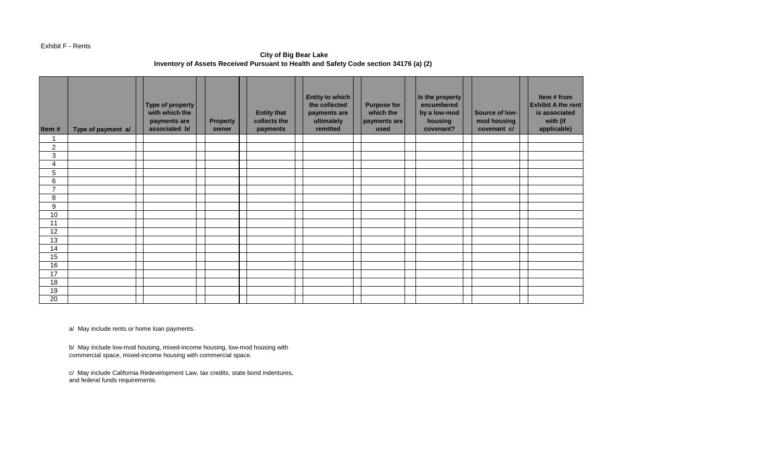#### Exhibit F - Rents

**City of Big Bear Lake Inventory of Assets Received Pursuant to Health and Safety Code section 34176 (a) (2)** 

| Item#            | Type of payment a/ | Type of property<br>with which the<br>payments are<br>associated b/ | <b>Property</b><br>owner | <b>Entity that</b><br>collects the<br>payments | <b>Entity to which</b><br>the collected<br>payments are<br>ultimately<br>remitted | <b>Purpose for</b><br>which the<br>payments are<br>used | Is the property<br>encumbered<br>by a low-mod<br>housing<br>covenant? | Source of low-<br>mod housing<br>covenant c/ | Item # from<br><b>Exhibit A the rent</b><br>is associated<br>with (if<br>applicable) |
|------------------|--------------------|---------------------------------------------------------------------|--------------------------|------------------------------------------------|-----------------------------------------------------------------------------------|---------------------------------------------------------|-----------------------------------------------------------------------|----------------------------------------------|--------------------------------------------------------------------------------------|
|                  |                    |                                                                     |                          |                                                |                                                                                   |                                                         |                                                                       |                                              |                                                                                      |
| $\boldsymbol{2}$ |                    |                                                                     |                          |                                                |                                                                                   |                                                         |                                                                       |                                              |                                                                                      |
| 3<br>4           |                    |                                                                     |                          |                                                |                                                                                   |                                                         |                                                                       |                                              |                                                                                      |
| 5                |                    |                                                                     |                          |                                                |                                                                                   |                                                         |                                                                       |                                              |                                                                                      |
| 6                |                    |                                                                     |                          |                                                |                                                                                   |                                                         |                                                                       |                                              |                                                                                      |
| $\overline{ }$   |                    |                                                                     |                          |                                                |                                                                                   |                                                         |                                                                       |                                              |                                                                                      |
| 8                |                    |                                                                     |                          |                                                |                                                                                   |                                                         |                                                                       |                                              |                                                                                      |
| 9                |                    |                                                                     |                          |                                                |                                                                                   |                                                         |                                                                       |                                              |                                                                                      |
| 10               |                    |                                                                     |                          |                                                |                                                                                   |                                                         |                                                                       |                                              |                                                                                      |
| 11               |                    |                                                                     |                          |                                                |                                                                                   |                                                         |                                                                       |                                              |                                                                                      |
| 12               |                    |                                                                     |                          |                                                |                                                                                   |                                                         |                                                                       |                                              |                                                                                      |
| 13               |                    |                                                                     |                          |                                                |                                                                                   |                                                         |                                                                       |                                              |                                                                                      |
| 14               |                    |                                                                     |                          |                                                |                                                                                   |                                                         |                                                                       |                                              |                                                                                      |
| 15               |                    |                                                                     |                          |                                                |                                                                                   |                                                         |                                                                       |                                              |                                                                                      |
| 16               |                    |                                                                     |                          |                                                |                                                                                   |                                                         |                                                                       |                                              |                                                                                      |
| 17               |                    |                                                                     |                          |                                                |                                                                                   |                                                         |                                                                       |                                              |                                                                                      |
| 18               |                    |                                                                     |                          |                                                |                                                                                   |                                                         |                                                                       |                                              |                                                                                      |
| 19               |                    |                                                                     |                          |                                                |                                                                                   |                                                         |                                                                       |                                              |                                                                                      |
| 20               |                    |                                                                     |                          |                                                |                                                                                   |                                                         |                                                                       |                                              |                                                                                      |

a/ May include rents or home loan payments.

b/ May include low-mod housing, mixed-income housing, low-mod housing with commercial space, mixed-income housing with commercial space.

c/ May include California Redevelopment Law, tax credits, state bond indentures, and federal funds requirements.